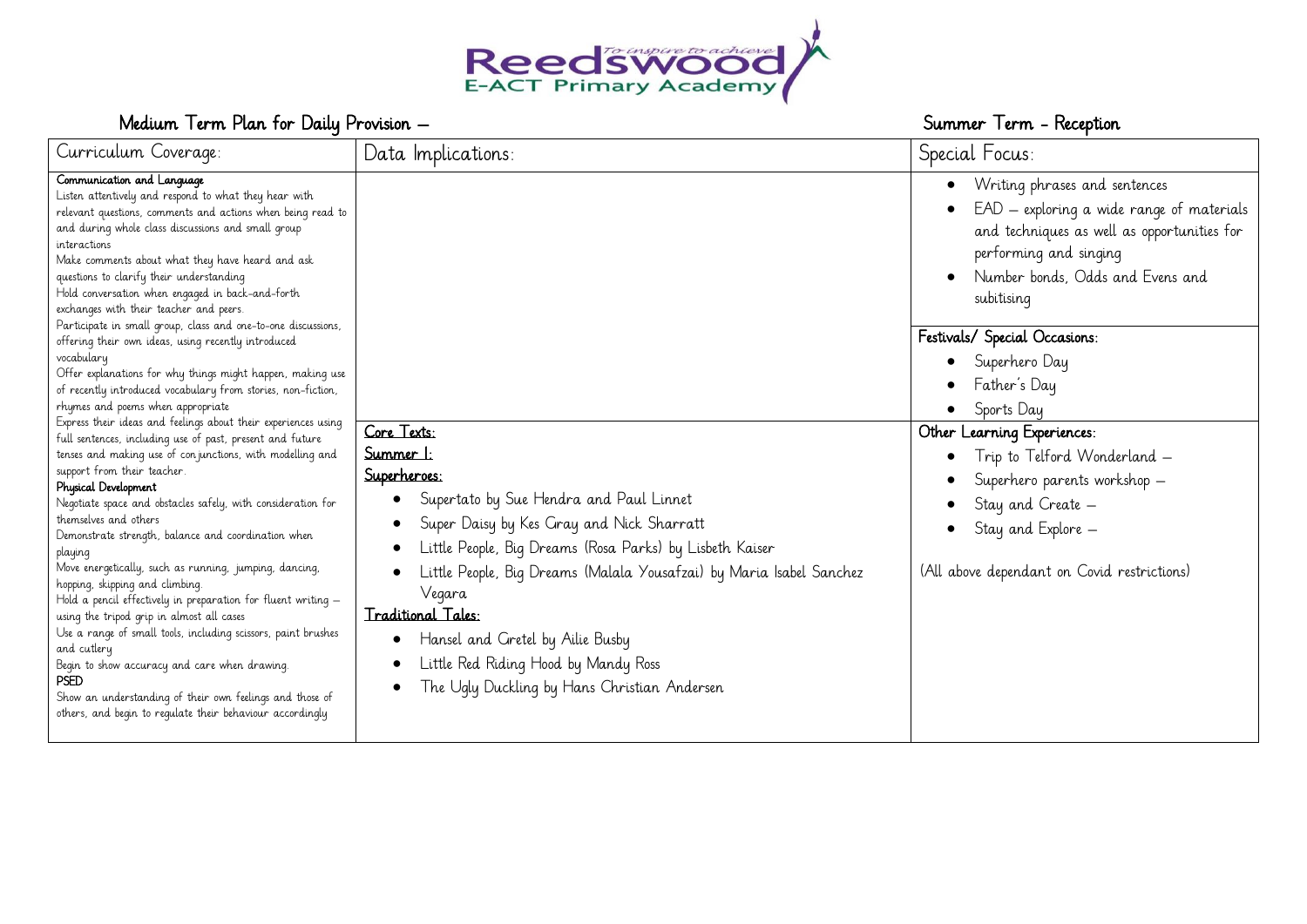

# Medium Term Plan for Daily Provision – Summer Term - Reception – Summer Term - Reception

| Curriculum Coverage:                                                                                                                                                                                                                                                                                                                                                                                                                                                                                                                                                                                                                                                                                                                                                                                                                                                                                                                                                                                                                                                                                                                      | Data Implications:                                                                                                                                                                                                                                                                                                                                                                                                                                                | Special Focus:                                                                                                                                                                                                                                                                                  |
|-------------------------------------------------------------------------------------------------------------------------------------------------------------------------------------------------------------------------------------------------------------------------------------------------------------------------------------------------------------------------------------------------------------------------------------------------------------------------------------------------------------------------------------------------------------------------------------------------------------------------------------------------------------------------------------------------------------------------------------------------------------------------------------------------------------------------------------------------------------------------------------------------------------------------------------------------------------------------------------------------------------------------------------------------------------------------------------------------------------------------------------------|-------------------------------------------------------------------------------------------------------------------------------------------------------------------------------------------------------------------------------------------------------------------------------------------------------------------------------------------------------------------------------------------------------------------------------------------------------------------|-------------------------------------------------------------------------------------------------------------------------------------------------------------------------------------------------------------------------------------------------------------------------------------------------|
| Communication and Language<br>Listen attentively and respond to what they hear with<br>relevant questions, comments and actions when being read to<br>and during whole class discussions and small group<br>interactions<br>Make comments about what they have heard and ask<br>questions to clarify their understanding<br>Hold conversation when engaged in back-and-forth<br>exchanges with their teacher and peers.<br>Participate in small group, class and one-to-one discussions,                                                                                                                                                                                                                                                                                                                                                                                                                                                                                                                                                                                                                                                  |                                                                                                                                                                                                                                                                                                                                                                                                                                                                   | Writing phrases and sentences<br>$\bullet$<br>EAD - exploring a wide range of materials<br>$\bullet$<br>and techniques as well as opportunities for<br>performing and singing<br>Number bonds, Odds and Evens and<br>subitising                                                                 |
| offering their own ideas, using recently introduced<br>vocabulary<br>Offer explanations for why things might happen, making use<br>of recently introduced vocabulary from stories, non-fiction,<br>rhymes and poems when appropriate<br>Express their ideas and feelings about their experiences using<br>full sentences, including use of past, present and future<br>tenses and making use of con junctions, with modelling and<br>support from their teacher.<br>Physical Development<br>Negotiate space and obstacles safely, with consideration for<br>themselves and others<br>Demonstrate strength, balance and coordination when<br>playing<br>Move energetically, such as running, jumping, dancing,<br>hopping, skipping and climbing.<br>Hold a pencil effectively in preparation for fluent writing $-$<br>using the tripod grip in almost all cases<br>Use a range of small tools, including scissors, paint brushes<br>and cutlery<br>Begin to show accuracy and care when drawing.<br><b>PSED</b><br>Show an understanding of their own feelings and those of<br>others, and begin to regulate their behaviour accordingly | Core Texts:<br><u>Summer 1:</u><br>Superheroes:<br>Supertato by Sue Hendra and Paul Linnet<br>$\bullet$<br>Super Daisy by Kes Gray and Nick Sharratt<br>Little People, Big Dreams (Rosa Parks) by Lisbeth Kaiser<br>Little People, Big Dreams (Malala Yousafzai) by Maria Isabel Sanchez<br>Vegara<br>Traditional Tales:<br>Hansel and Gretel by Ailie Busby<br>$\bullet$<br>Little Red Riding Hood by Mandy Ross<br>The Ugly Duckling by Hans Christian Andersen | Festivals/ Special Occasions:<br>Superhero Day<br>Father's Day<br>$\bullet$<br>Sports Day<br>Other Learning Experiences:<br>Trip to Telford Wonderland -<br>$\bullet$<br>Superhero parents workshop -<br>Stay and Create -<br>Stay and Explore -<br>(All above dependant on Covid restrictions) |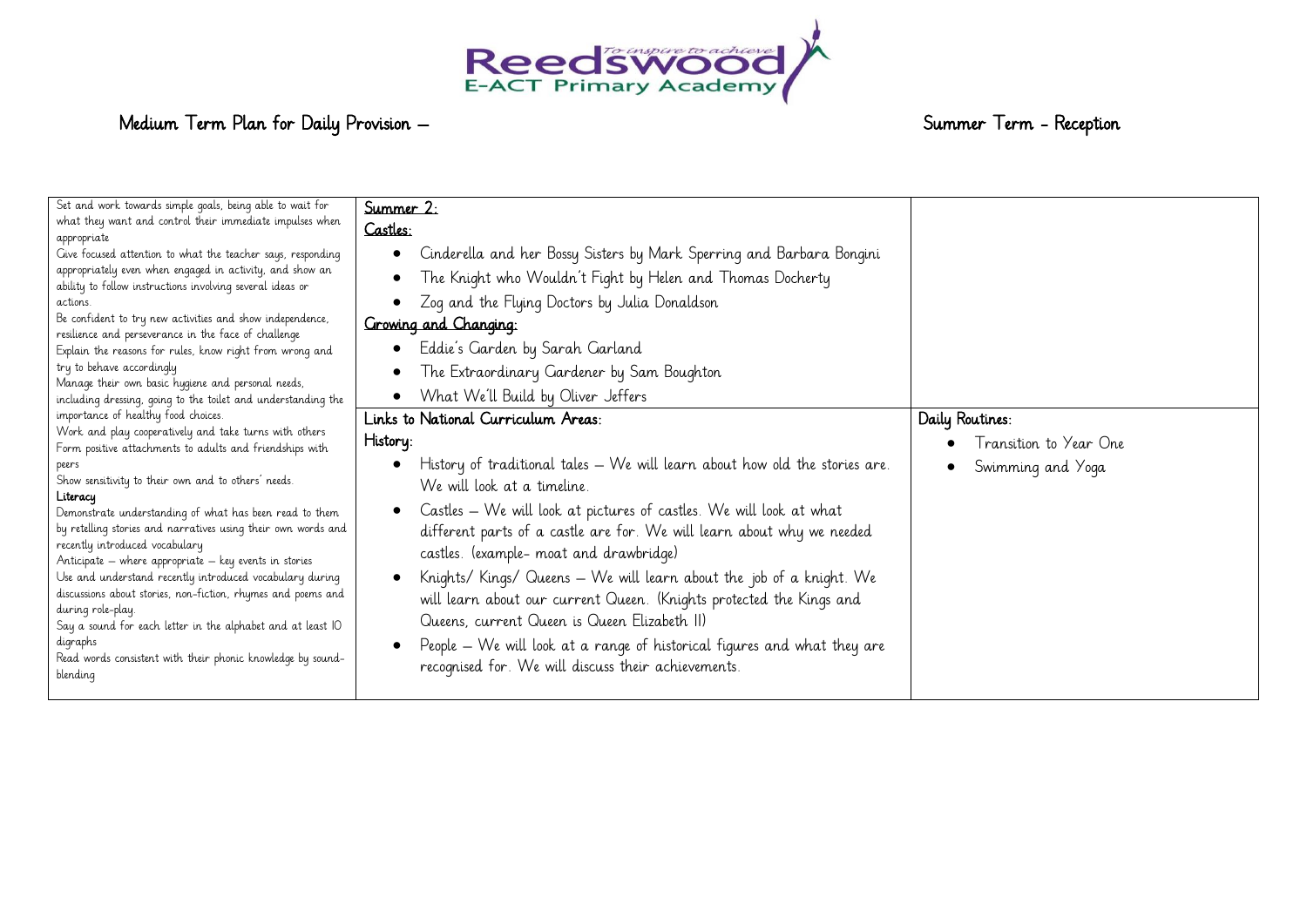

# Medium Term Plan for Daily Provision – Summer Term - Reception – Summer Term - Reception

| Set and work towards simple goals, being able to wait for<br>what they want and control their immediate impulses when<br>appropriate<br>Give focused attention to what the teacher says, responding<br>appropriately even when engaged in activity, and show an<br>ability to follow instructions involving several ideas or<br>actions.<br>Be confident to try new activities and show independence,<br>resilience and perseverance in the face of challenge<br>Explain the reasons for rules, know right from wrong and<br>try to behave accordingly<br>Manage their own basic hygiene and personal needs,<br>including dressing, going to the toilet and understanding the                                                                                        | Summer 2:<br>Castles:<br>Cinderella and her Bossy Sisters by Mark Sperring and Barbara Bongini<br>$\bullet$<br>The Knight who Wouldn't Fight by Helen and Thomas Docherty<br>$\bullet$<br>Zog and the Flying Doctors by Julia Donaldson<br>Growing and Changing:<br>Eddie's Garden by Sarah Garland<br>$\bullet$<br>The Extraordinary Gardener by Sam Boughton<br>$\bullet$<br>What We'll Build by Oliver Jeffers<br>$\bullet$                                                                                                                                                                                                                                                                          |                                                                |
|----------------------------------------------------------------------------------------------------------------------------------------------------------------------------------------------------------------------------------------------------------------------------------------------------------------------------------------------------------------------------------------------------------------------------------------------------------------------------------------------------------------------------------------------------------------------------------------------------------------------------------------------------------------------------------------------------------------------------------------------------------------------|---------------------------------------------------------------------------------------------------------------------------------------------------------------------------------------------------------------------------------------------------------------------------------------------------------------------------------------------------------------------------------------------------------------------------------------------------------------------------------------------------------------------------------------------------------------------------------------------------------------------------------------------------------------------------------------------------------|----------------------------------------------------------------|
| importance of healthy food choices.<br>Work and play cooperatively and take turns with others<br>Form positive attachments to adults and friendships with<br>peers<br>Show sensitivity to their own and to others' needs.<br>Literacy<br>Demonstrate understanding of what has been read to them<br>by retelling stories and narratives using their own words and<br>recently introduced vocabulary<br>Anticipate – where appropriate – key events in stories<br>Use and understand recently introduced vocabulary during<br>discussions about stories, non-fiction, rhymes and poems and<br>during role-play.<br>Say a sound for each letter in the alphabet and at least IO<br>digraphs<br>Read words consistent with their phonic knowledge by sound-<br>blending | Links to National Curriculum Areas:<br>History:<br>History of traditional tales – We will learn about how old the stories are.<br>We will look at a timeline.<br>Castles - We will look at pictures of castles. We will look at what<br>$\bullet$<br>different parts of a castle are for. We will learn about why we needed<br>castles. (example- moat and drawbridge)<br>Knights/Kings/Queens - We will learn about the job of a knight. We<br>will learn about our current Queen. (Knights protected the Kings and<br>Queens, current Queen is Queen Elizabeth II)<br>People – We will look at a range of historical figures and what they are<br>recognised for. We will discuss their achievements. | Daily Routines:<br>Transition to Year One<br>Swimming and Yoga |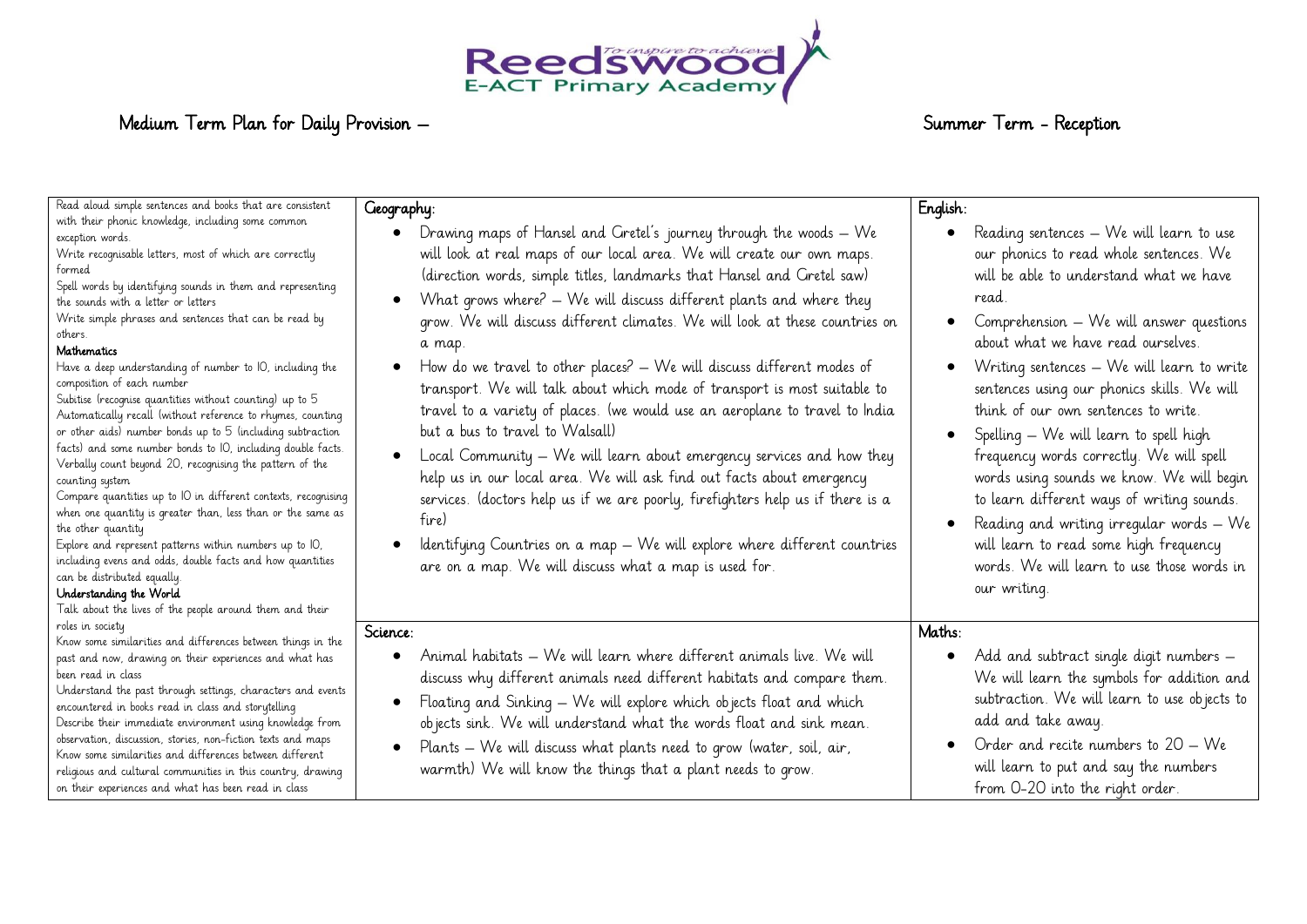

# Medium Term Plan for Daily Provision – Summer Term - Reception – Summer Term - Reception

| Read aloud simple sentences and books that are consistent<br>with their phonic knowledge, including some common<br>exception words.<br>Write recognisable letters, most of which are correctly<br>formed<br>Spell words by identifying sounds in them and representing<br>the sounds with a letter or letters<br>Write simple phrases and sentences that can be read by<br>others.<br>Mathematics<br>Have a deep understanding of number to IO, including the<br>composition of each number<br>Subitise (recognise quantities without counting) up to 5<br>Automatically recall (without reference to rhymes, counting<br>or other aids) number bonds up to 5 (including subtraction<br>facts) and some number bonds to IO, including double facts.<br>Verbally count beyond 20, recognising the pattern of the<br>counting system<br>Compare quantities up to IO in different contexts, recognising<br>when one quantity is greater than, less than or the same as<br>the other quantity<br>Explore and represent patterns within numbers up to IO,<br>including evens and odds, double facts and how quantities | Geography:<br>Drawing maps of Hansel and Gretel's journey through the woods - We<br>$\bullet$<br>will look at real maps of our local area. We will create our own maps.<br>(direction words, simple titles, landmarks that Hansel and Gretel saw)<br>What grows where? - We will discuss different plants and where they<br>$\bullet$<br>grow. We will discuss different climates. We will look at these countries on<br>a map.<br>How do we travel to other places? – We will discuss different modes of<br>$\bullet$<br>transport. We will talk about which mode of transport is most suitable to<br>travel to a variety of places. (we would use an aeroplane to travel to India<br>but a bus to travel to Walsall)<br>Local Community - We will learn about emergency services and how they<br>$\bullet$<br>help us in our local area. We will ask find out facts about emergency<br>services. (doctors help us if we are poorly, firefighters help us if there is a<br>fire)<br>Identifying Countries on a map - We will explore where different countries<br>$\bullet$<br>are on a map. We will discuss what a map is used for. | English:<br>Reading sentences – We will learn to use<br>our phonics to read whole sentences. We<br>will be able to understand what we have<br>read.<br>Comprehension - We will answer questions<br>about what we have read ourselves.<br>Writing sentences - We will learn to write<br>sentences using our phonics skills. We will<br>think of our own sentences to write.<br>Spelling – We will learn to spell high<br>frequency words correctly. We will spell<br>words using sounds we know. We will begin<br>to learn different ways of writing sounds.<br>Reading and writing irregular words - We<br>will learn to read some high frequency<br>words. We will learn to use those words in |
|-------------------------------------------------------------------------------------------------------------------------------------------------------------------------------------------------------------------------------------------------------------------------------------------------------------------------------------------------------------------------------------------------------------------------------------------------------------------------------------------------------------------------------------------------------------------------------------------------------------------------------------------------------------------------------------------------------------------------------------------------------------------------------------------------------------------------------------------------------------------------------------------------------------------------------------------------------------------------------------------------------------------------------------------------------------------------------------------------------------------|---------------------------------------------------------------------------------------------------------------------------------------------------------------------------------------------------------------------------------------------------------------------------------------------------------------------------------------------------------------------------------------------------------------------------------------------------------------------------------------------------------------------------------------------------------------------------------------------------------------------------------------------------------------------------------------------------------------------------------------------------------------------------------------------------------------------------------------------------------------------------------------------------------------------------------------------------------------------------------------------------------------------------------------------------------------------------------------------------------------------------------------|-------------------------------------------------------------------------------------------------------------------------------------------------------------------------------------------------------------------------------------------------------------------------------------------------------------------------------------------------------------------------------------------------------------------------------------------------------------------------------------------------------------------------------------------------------------------------------------------------------------------------------------------------------------------------------------------------|
| can be distributed equally.<br>Understanding the World<br>Talk about the lives of the people around them and their<br>roles in society<br>Know some similarities and differences between things in the<br>past and now, drawing on their experiences and what has<br>been read in class<br>Understand the past through settings, characters and events<br>encountered in books read in class and storytelling<br>Describe their immediate environment using knowledge from<br>observation, discussion, stories, non-fiction texts and maps<br>Know some similarities and differences between different<br>religious and cultural communities in this country, drawing<br>on their experiences and what has been read in class                                                                                                                                                                                                                                                                                                                                                                                     | Science:<br>Animal habitats - We will learn where different animals live. We will<br>discuss why different animals need different habitats and compare them.<br>Floating and Sinking - We will explore which objects float and which<br>objects sink. We will understand what the words float and sink mean.<br>Plants – We will discuss what plants need to grow (water, soil, air,<br>$\bullet$<br>warmth) We will know the things that a plant needs to grow.                                                                                                                                                                                                                                                                                                                                                                                                                                                                                                                                                                                                                                                                      | our writing.<br>Maths:<br>Add and subtract single digit numbers -<br>We will learn the symbols for addition and<br>subtraction. We will learn to use objects to<br>add and take away.<br>Order and recite numbers to $20 - We$<br>will learn to put and say the numbers<br>from 0-20 into the right order.                                                                                                                                                                                                                                                                                                                                                                                      |